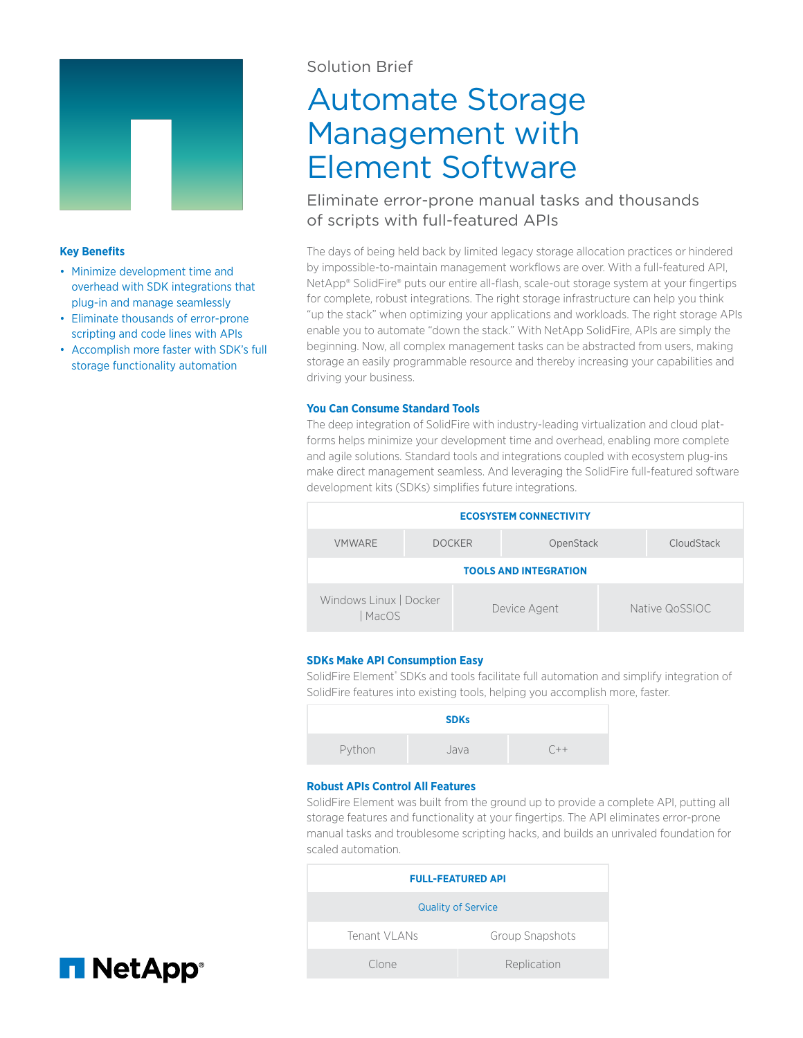

#### **Key Benefits**

- Minimize development time and overhead with SDK integrations that plug-in and manage seamlessly
- Eliminate thousands of error-prone scripting and code lines with APIs
- Accomplish more faster with SDK's full storage functionality automation

## Solution Brief

# Automate Storage Management with Element Software

## Eliminate error-prone manual tasks and thousands of scripts with full-featured APIs

The days of being held back by limited legacy storage allocation practices or hindered by impossible-to-maintain management workflows are over. With a full-featured API, NetApp® SolidFire® puts our entire all-flash, scale-out storage system at your fingertips for complete, robust integrations. The right storage infrastructure can help you think "up the stack" when optimizing your applications and workloads. The right storage APIs enable you to automate "down the stack." With NetApp SolidFire, APIs are simply the beginning. Now, all complex management tasks can be abstracted from users, making storage an easily programmable resource and thereby increasing your capabilities and driving your business.

#### **You Can Consume Standard Tools**

The deep integration of SolidFire with industry-leading virtualization and cloud platforms helps minimize your development time and overhead, enabling more complete and agile solutions. Standard tools and integrations coupled with ecosystem plug-ins make direct management seamless. And leveraging the SolidFire full-featured software development kits (SDKs) simplifies future integrations.



### **SDKs Make API Consumption Easy**

SolidFire Element® SDKs and tools facilitate full automation and simplify integration of SolidFire features into existing tools, helping you accomplish more, faster.

|        | <b>SDKs</b> |       |
|--------|-------------|-------|
| Python | Java        | $C++$ |

#### **Robust APIs Control All Features**

SolidFire Element was built from the ground up to provide a complete API, putting all storage features and functionality at your fingertips. The API eliminates error-prone manual tasks and troublesome scripting hacks, and builds an unrivaled foundation for scaled automation.

| <b>FULL-FEATURED API</b>  |                 |  |  |
|---------------------------|-----------------|--|--|
| <b>Quality of Service</b> |                 |  |  |
| Tenant VI ANs             | Group Snapshots |  |  |
| Clone                     | Replication     |  |  |